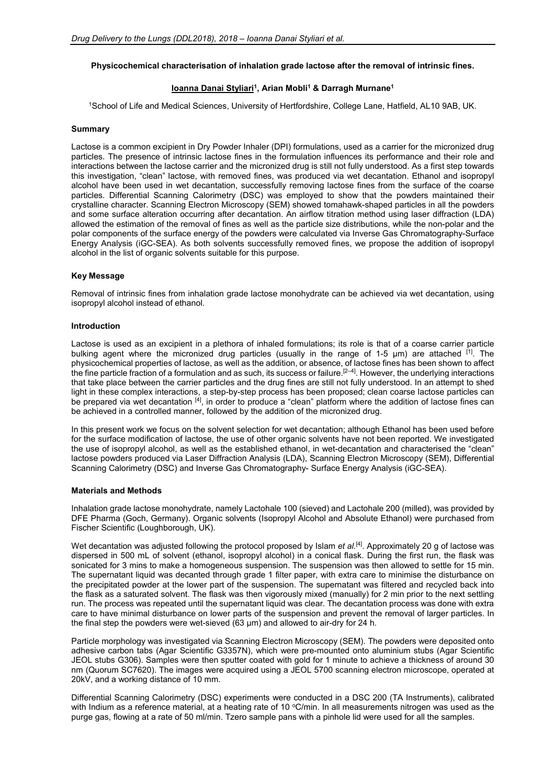# **Physicochemical characterisation of inhalation grade lactose after the removal of intrinsic fines.**

# **Ioanna Danai Styliari<sup>1</sup> , Arian Mobli<sup>1</sup> & Darragh Murnane<sup>1</sup>**

<sup>1</sup>School of Life and Medical Sciences, University of Hertfordshire, College Lane, Hatfield, AL10 9AB, UK.

### **Summary**

Lactose is a common excipient in Dry Powder Inhaler (DPI) formulations, used as a carrier for the micronized drug particles. The presence of intrinsic lactose fines in the formulation influences its performance and their role and interactions between the lactose carrier and the micronized drug is still not fully understood. As a first step towards this investigation, "clean" lactose, with removed fines, was produced via wet decantation. Ethanol and isopropyl alcohol have been used in wet decantation, successfully removing lactose fines from the surface of the coarse particles. Differential Scanning Calorimetry (DSC) was employed to show that the powders maintained their crystalline character. Scanning Electron Microscopy (SEM) showed tomahawk-shaped particles in all the powders and some surface alteration occurring after decantation. An airflow titration method using laser diffraction (LDA) allowed the estimation of the removal of fines as well as the particle size distributions, while the non-polar and the polar components of the surface energy of the powders were calculated via Inverse Gas Chromatography-Surface Energy Analysis (iGC-SEA). As both solvents successfully removed fines, we propose the addition of isopropyl alcohol in the list of organic solvents suitable for this purpose.

## **Key Message**

Removal of intrinsic fines from inhalation grade lactose monohydrate can be achieved via wet decantation, using isopropyl alcohol instead of ethanol.

#### **Introduction**

Lactose is used as an excipient in a plethora of inhaled formulations; its role is that of a coarse carrier particle bulking agent where the micronized drug particles (usually in the range of 1-5 μm) are attached <sup>[1]</sup>. The physicochemical properties of lactose, as well as the addition, or absence, of lactose fines has been shown to affect the fine particle fraction of a formulation and as such, its success or failure.<sup>[2–4]</sup>. However, the underlying interactions that take place between the carrier particles and the drug fines are still not fully understood. In an attempt to shed light in these complex interactions, a step-by-step process has been proposed; clean coarse lactose particles can be prepared via wet decantation [4], in order to produce a "clean" platform where the addition of lactose fines can be achieved in a controlled manner, followed by the addition of the micronized drug.

In this present work we focus on the solvent selection for wet decantation; although Ethanol has been used before for the surface modification of lactose, the use of other organic solvents have not been reported. We investigated the use of isopropyl alcohol, as well as the established ethanol, in wet-decantation and characterised the "clean" lactose powders produced via Laser Diffraction Analysis (LDA), Scanning Electron Microscopy (SEM), Differential Scanning Calorimetry (DSC) and Inverse Gas Chromatography- Surface Energy Analysis (iGC-SEA).

## **Materials and Methods**

Inhalation grade lactose monohydrate, namely Lactohale 100 (sieved) and Lactohale 200 (milled), was provided by DFE Pharma (Goch, Germany). Organic solvents (Isopropyl Alcohol and Absolute Ethanol) were purchased from Fischer Scientific (Loughborough, UK).

Wet decantation was adjusted following the protocol proposed by Islam *et al.*<sup>[4]</sup>. Approximately 20 g of lactose was dispersed in 500 mL of solvent (ethanol, isopropyl alcohol) in a conical flask. During the first run, the flask was sonicated for 3 mins to make a homogeneous suspension. The suspension was then allowed to settle for 15 min. The supernatant liquid was decanted through grade 1 filter paper, with extra care to minimise the disturbance on the precipitated powder at the lower part of the suspension. The supernatant was filtered and recycled back into the flask as a saturated solvent. The flask was then vigorously mixed (manually) for 2 min prior to the next settling run. The process was repeated until the supernatant liquid was clear. The decantation process was done with extra care to have minimal disturbance on lower parts of the suspension and prevent the removal of larger particles. In the final step the powders were wet-sieved (63 μm) and allowed to air-dry for 24 h.

Particle morphology was investigated via Scanning Electron Microscopy (SEM). The powders were deposited onto adhesive carbon tabs (Agar Scientific G3357N), which were pre-mounted onto aluminium stubs (Agar Scientific JEOL stubs G306). Samples were then sputter coated with gold for 1 minute to achieve a thickness of around 30 nm (Quorum SC7620). The images were acquired using a JEOL 5700 scanning electron microscope, operated at 20kV, and a working distance of 10 mm.

Differential Scanning Calorimetry (DSC) experiments were conducted in a DSC 200 (TA Instruments), calibrated with Indium as a reference material, at a heating rate of 10 °C/min. In all measurements nitrogen was used as the purge gas, flowing at a rate of 50 ml/min. Tzero sample pans with a pinhole lid were used for all the samples.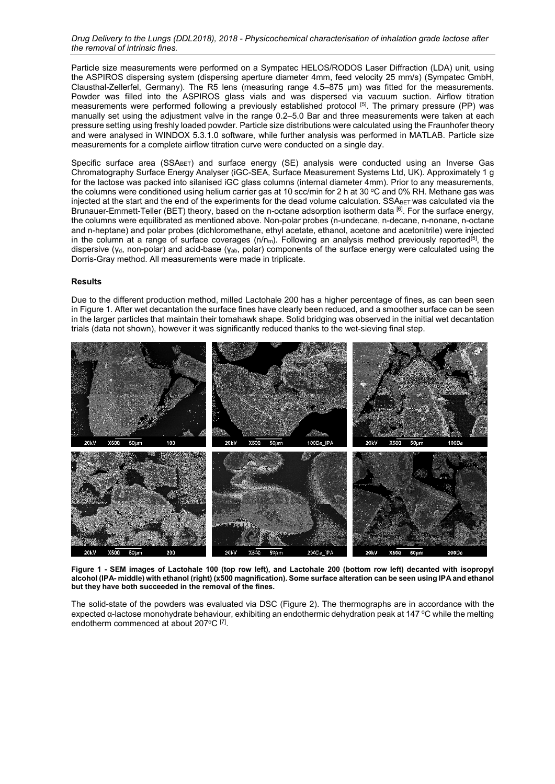*Drug Delivery to the Lungs (DDL2018), 2018 - Physicochemical characterisation of inhalation grade lactose after the removal of intrinsic fines.* 

Particle size measurements were performed on a Sympatec HELOS/RODOS Laser Diffraction (LDA) unit, using the ASPIROS dispersing system (dispersing aperture diameter 4mm, feed velocity 25 mm/s) (Sympatec GmbH, Clausthal-Zellerfel, Germany). The R5 lens (measuring range 4.5–875 μm) was fitted for the measurements. Powder was filled into the ASPIROS glass vials and was dispersed via vacuum suction. Airflow titration measurements were performed following a previously established protocol [5]. The primary pressure (PP) was manually set using the adjustment valve in the range 0.2–5.0 Bar and three measurements were taken at each pressure setting using freshly loaded powder. Particle size distributions were calculated using the Fraunhofer theory and were analysed in WINDOX 5.3.1.0 software, while further analysis was performed in MATLAB. Particle size measurements for a complete airflow titration curve were conducted on a single day.

Specific surface area (SSA<sub>BET</sub>) and surface energy (SE) analysis were conducted using an Inverse Gas Chromatography Surface Energy Analyser (iGC-SEA, Surface Measurement Systems Ltd, UK). Approximately 1 g for the lactose was packed into silanised iGC glass columns (internal diameter 4mm). Prior to any measurements, the columns were conditioned using helium carrier gas at 10 scc/min for 2 h at 30 °C and 0% RH. Methane gas was injected at the start and the end of the experiments for the dead volume calculation. SSABET was calculated via the Brunauer-Emmett-Teller (BET) theory, based on the n-octane adsorption isotherm data [6]. For the surface energy, the columns were equilibrated as mentioned above. Non-polar probes (n-undecane, n-decane, n-nonane, n-octane and n-heptane) and polar probes (dichloromethane, ethyl acetate, ethanol, acetone and acetonitrile) were injected in the column at a range of surface coverages  $(n/m_m)$ . Following an analysis method previously reported<sup>[5]</sup>, the dispersive (γ<sub>d</sub>, non-polar) and acid-base (γ<sub>ab</sub>, polar) components of the surface energy were calculated using the Dorris-Gray method. All measurements were made in triplicate.

#### **Results**

Due to the different production method, milled Lactohale 200 has a higher percentage of fines, as can been seen in Figure 1. After wet decantation the surface fines have clearly been reduced, and a smoother surface can be seen in the larger particles that maintain their tomahawk shape. Solid bridging was observed in the initial wet decantation trials (data not shown), however it was significantly reduced thanks to the wet-sieving final step.



**Figure 1 - SEM images of Lactohale 100 (top row left), and Lactohale 200 (bottom row left) decanted with isopropyl alcohol (IPA- middle) with ethanol (right) (x500 magnification). Some surface alteration can be seen using IPA and ethanol but they have both succeeded in the removal of the fines.** 

The solid-state of the powders was evaluated via DSC (Figure 2). The thermographs are in accordance with the expected α-lactose monohydrate behaviour, exhibiting an endothermic dehydration peak at 147 °C while the melting endotherm commenced at about 207°C [7].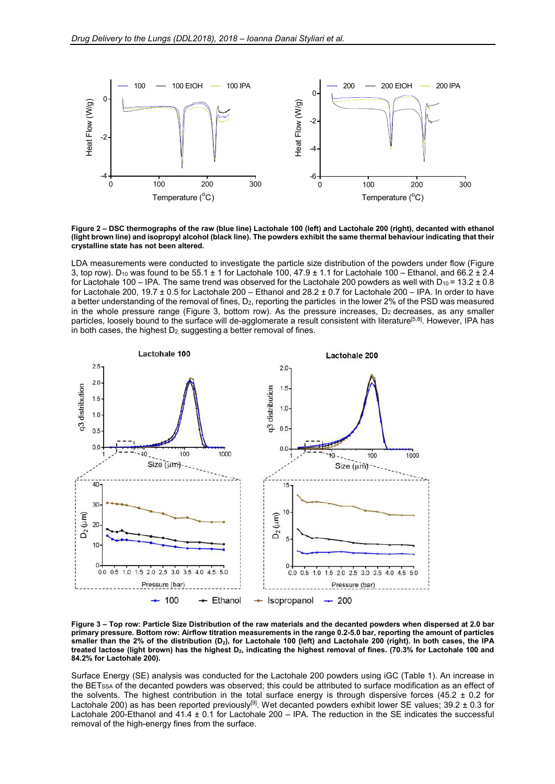

**Figure 2 – DSC thermographs of the raw (blue line) Lactohale 100 (left) and Lactohale 200 (right), decanted with ethanol (light brown line) and isopropyl alcohol (black line). The powders exhibit the same thermal behaviour indicating that their crystalline state has not been altered.** 

LDA measurements were conducted to investigate the particle size distribution of the powders under flow (Figure 3, top row). D<sub>10</sub> was found to be 55.1  $\pm$  1 for Lactohale 100, 47.9  $\pm$  1.1 for Lactohale 100 – Ethanol, and 66.2  $\pm$  2.4 for Lactohale 100 – IPA. The same trend was observed for the Lactohale 200 powders as well with  $D_{10} = 13.2 \pm 0.8$ for Lactohale 200, 19.7  $\pm$  0.5 for Lactohale 200 – Ethanol and 28.2  $\pm$  0.7 for Lactohale 200 – IPA. In order to have a better understanding of the removal of fines, D<sub>2</sub>, reporting the particles in the lower 2% of the PSD was measured in the whole pressure range (Figure 3, bottom row). As the pressure increases,  $D_2$  decreases, as any smaller particles, loosely bound to the surface will de-agglomerate a result consistent with literature<sup>[5,8]</sup>. However, IPA has in both cases, the highest  $D_2$ , suggesting a better removal of fines.



**Figure 3 – Top row: Particle Size Distribution of the raw materials and the decanted powders when dispersed at 2.0 bar primary pressure. Bottom row: Airflow titration measurements in the range 0.2-5.0 bar, reporting the amount of particles smaller than the 2% of the distribution (D2), for Lactohale 100 (left) and Lactohale 200 (right). In both cases, the IPA treated lactose (light brown) has the highest D2, indicating the highest removal of fines. (70.3% for Lactohale 100 and 84.2% for Lactohale 200).** 

Surface Energy (SE) analysis was conducted for the Lactohale 200 powders using iGC (Table 1). An increase in the BETSSA of the decanted powders was observed; this could be attributed to surface modification as an effect of the solvents. The highest contribution in the total surface energy is through dispersive forces (45.2  $\pm$  0.2 for Lactohale 200) as has been reported previously<sup>[9]</sup>. Wet decanted powders exhibit lower SE values; 39.2  $\pm$  0.3 for Lactohale 200-Ethanol and 41.4 ± 0.1 for Lactohale 200 – IPA. The reduction in the SE indicates the successful removal of the high-energy fines from the surface.